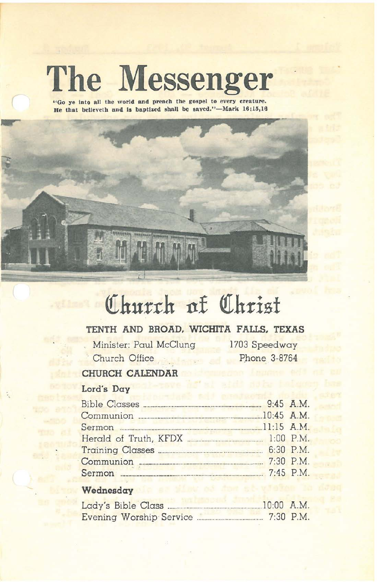# **The Messenger**

"Go ye into all the world and preach the gospel to every creature. **He** that **believeth** and is **baptized** shall be saved."-Mark  $16:15,16$ 



# Church at Christ

# **TENTH AND BROAD. WICHITA FALLS. TEXAS**

Minister: Paul McClung Church Office .

1703 Speedway phone 3-8764

# **CHURCH CALENDAR**

# Lord's **Day**

|  | $.10:45$ A.M. |
|--|---------------|
|  |               |
|  |               |
|  |               |
|  | 7:30 P.M.     |
|  | 7:45 P.M.     |

## **Wednesday**

| Lady's Bible Class.     | $10:00$ A.M. |
|-------------------------|--------------|
| Evening Worship Service | $7:30$ P.M.  |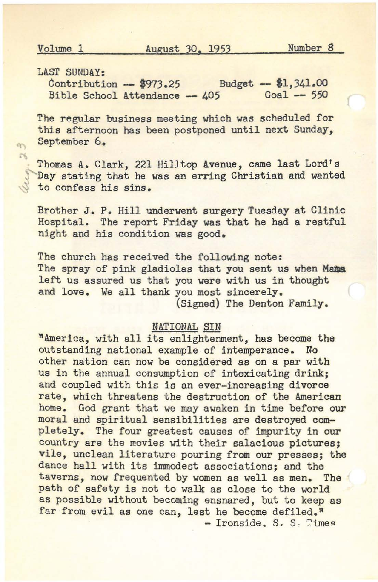LAST SUNDAY:

 $\frac{\text{Contribution}}{\text{Bible School} \text{ Attendance}} - \frac{\text{Buget}}{\text{405}} - \frac{\text{LJ}}{\text{41}}.341.00$ Bible School Attendance  $-405$ 

The regular business meeting which was scheduled for this afternoon has been postponed until next Sunday, September 6,

..... Thomas A. Clark, <sup>221</sup> Hilltop Avenue, came last Lord's Day stating that he was an erring Christian and wanted to confess his sins,

Brother J, P, Hill underwent aurgery Tuesday at Clinic Hospital. The report Friday was that he had a restful night and his condition was good,

The church has received the following note: The spray of pink gladiolas that you sent us when **Mama** left us assured us that you were with us in thought and love. We all thank you most sincerely. (Signed) The Denton Family.

#### NATIONAL SIN

nAmerica, with all its enlightenment, has become the outstanding national exampla of intemperance, No other nation can now be considered as on a par with us in the annual consumption of intoxicating drink; and coupled with this is an ever-increasing divorce rate, which threatens the destruction of the American home, God grant that we may awaken in time before our moral and spiritual sensibilities are destroyed completely, The four greatest causes of impurity in our country are the movies with their salacious pictures; Vile, unclean literature pouring from our presses; the dance hall with its immodest associations; and the taverns, now frequented by women as well as men. The path of safety is not to walk as close to the world as possible without becoming ensnared, but to keep as far from evil as one can, lest he become defiled."<br>- Ironside. S. S. Times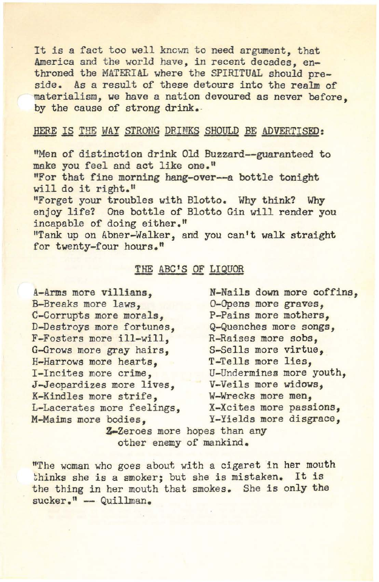It is <sup>a</sup> fact too well known to need argument, that America and the world have, in recent decades, enthroned the MATERIAL where the SPIRITUAL should preside. As a result of these detours into the realm of materialism, we have a nation devoured as never before, by the cause of strong drink.

#### HERE IS THE WAY STRONG DRINKS SHOULD BE ADVERTISED:

"Men of distinction drink Old Buzzard--guaranteed to make you feel and act like **one."** "For that fine morning hang-over--a bottle tonight will do it right."

"Forget your troubles with Blotto. Why think? Why enjoy life? One bottle of Blotto Gin will render you incapable of doing either."

"Tank up on Abner-Walker, and you can't walk straight for twenty-four hours."

### THE ABC'S OF LIQUOR

A-Arms more villians, B-Breaks more laws, C-Corrupts more morals, D-Destroys more fortunes, F-Fosters more ill-will, G-Grows more gray hairs, H-Harrows more hearts, I-Incites more crime, J-Jeopardizes more lives, K-Kindles more strife, L-Lacerates more feelings, M-Maims more bodies,

N-Nails down more coffina, o-Opens more graves, P-Pains more mothers, Q-Quenches more songs, R-Raisea more sobs, S-Sells more virtue, T-Tells more lies, U-Undermines more youth, V-Veils more widows, W-Wrecks more men, X-Xcites more passions, Y-Yields more disgrace,

**Z-Zeroes more hopes than any** other enemy of mankind.

"The woman who goes about with a cigaret in her mouth thinks she is a smoker; but she is mistaken. It is the thing in her mouth that smokes. She is only the sucker." - Quillman.